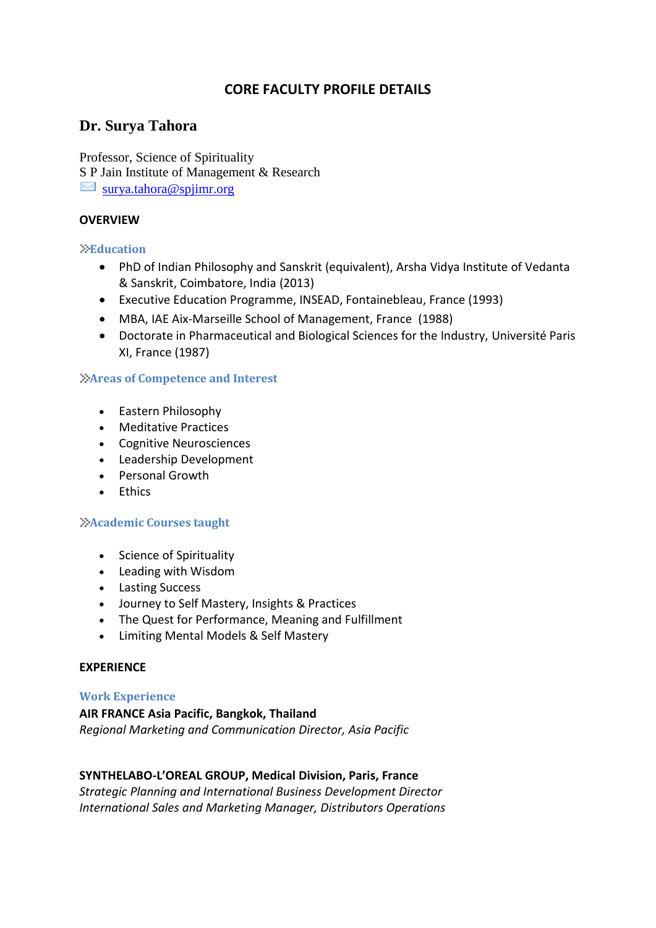# **CORE FACULTY PROFILE DETAILS**

# **Dr. Surya Tahora**

Professor, Science of Spirituality S P Jain Institute of Management & Research  $\bowtie$  [surya.tahora@spjimr.org](mailto:surya.tahora@spjimr.org)

### **OVERVIEW**

#### **Education**

- PhD of Indian Philosophy and Sanskrit (equivalent), Arsha Vidya Institute of Vedanta & Sanskrit, Coimbatore, India (2013)
- Executive Education Programme, INSEAD, Fontainebleau, France (1993)
- MBA, IAE Aix-Marseille School of Management, France (1988)
- Doctorate in Pharmaceutical and Biological Sciences for the Industry, Université Paris XI, France (1987)

#### **Areas of Competence and Interest**

- Eastern Philosophy
- Meditative Practices
- Cognitive Neurosciences
- Leadership Development
- Personal Growth
- Fthics

#### **Academic Courses taught**

- Science of Spirituality
- Leading with Wisdom
- Lasting Success
- Journey to Self Mastery, Insights & Practices
- The Quest for Performance, Meaning and Fulfillment
- Limiting Mental Models & Self Mastery

#### **EXPERIENCE**

#### **Work Experience**

### **AIR FRANCE Asia Pacific, Bangkok, Thailand**  *Regional Marketing and Communication Director, Asia Pacific*

### **SYNTHELABO-L'OREAL GROUP, Medical Division, Paris, France**

*Strategic Planning and International Business Development Director International Sales and Marketing Manager, Distributors Operations*